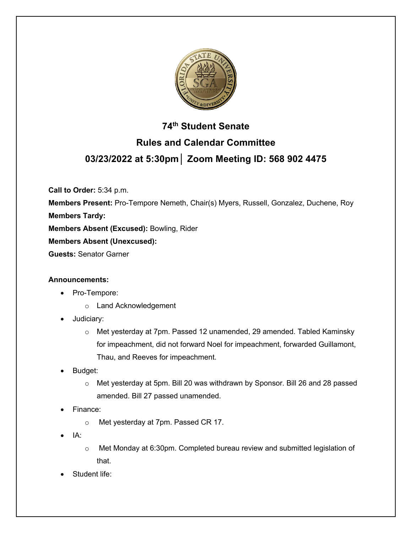

# **74th Student Senate Rules and Calendar Committee 03/23/2022 at 5:30pm│ Zoom Meeting ID: 568 902 4475**

**Call to Order:** 5:34 p.m.

**Members Present:** Pro-Tempore Nemeth, Chair(s) Myers, Russell, Gonzalez, Duchene, Roy **Members Tardy:**

**Members Absent (Excused):** Bowling, Rider

**Members Absent (Unexcused):**

**Guests:** Senator Garner

## **Announcements:**

- Pro-Tempore:
	- o Land Acknowledgement
- Judiciary:
	- o Met yesterday at 7pm. Passed 12 unamended, 29 amended. Tabled Kaminsky for impeachment, did not forward Noel for impeachment, forwarded Guillamont, Thau, and Reeves for impeachment.
- Budget:
	- o Met yesterday at 5pm. Bill 20 was withdrawn by Sponsor. Bill 26 and 28 passed amended. Bill 27 passed unamended.
- Finance:
	- o Met yesterday at 7pm. Passed CR 17.
- IA:
- $\circ$  Met Monday at 6:30pm. Completed bureau review and submitted legislation of that.
- Student life: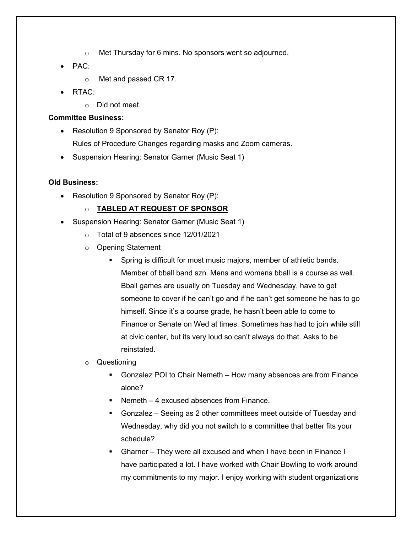- o Met Thursday for 6 mins. No sponsors went so adjourned.
- PAC:
	- o Met and passed CR 17.
- RTAC:
	- o Did not meet.

## **Committee Business:**

- Resolution 9 Sponsored by Senator Roy (P): Rules of Procedure Changes regarding masks and Zoom cameras.
- Suspension Hearing: Senator Garner (Music Seat 1)

## **Old Business:**

• Resolution 9 Sponsored by Senator Roy (P):

# o **TABLED AT REQUEST OF SPONSOR**

- Suspension Hearing: Senator Garner (Music Seat 1)
	- o Total of 9 absences since 12/01/2021
	- o Opening Statement
		- § Spring is difficult for most music majors, member of athletic bands. Member of bball band szn. Mens and womens bball is a course as well. Bball games are usually on Tuesday and Wednesday, have to get someone to cover if he can't go and if he can't get someone he has to go himself. Since it's a course grade, he hasn't been able to come to Finance or Senate on Wed at times. Sometimes has had to join while still at civic center, but its very loud so can't always do that. Asks to be reinstated.
	- o Questioning
		- § Gonzalez POI to Chair Nemeth How many absences are from Finance alone?
		- Nemeth 4 excused absences from Finance.
		- Gonzalez Seeing as 2 other committees meet outside of Tuesday and Wednesday, why did you not switch to a committee that better fits your schedule?
		- § Gharner They were all excused and when I have been in Finance I have participated a lot. I have worked with Chair Bowling to work around my commitments to my major. I enjoy working with student organizations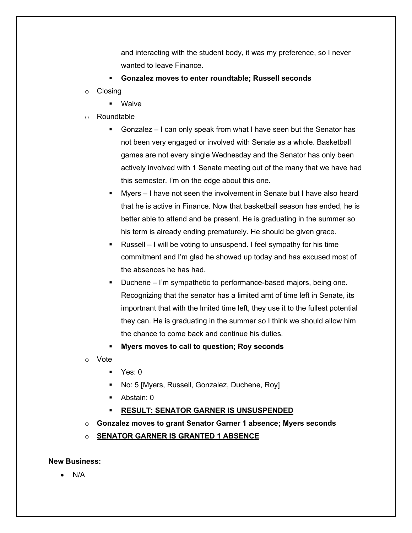and interacting with the student body, it was my preference, so I never wanted to leave Finance.

- § **Gonzalez moves to enter roundtable; Russell seconds**
- o Closing
	- § Waive
- o Roundtable
	- § Gonzalez I can only speak from what I have seen but the Senator has not been very engaged or involved with Senate as a whole. Basketball games are not every single Wednesday and the Senator has only been actively involved with 1 Senate meeting out of the many that we have had this semester. I'm on the edge about this one.
	- Myers I have not seen the involvement in Senate but I have also heard that he is active in Finance. Now that basketball season has ended, he is better able to attend and be present. He is graduating in the summer so his term is already ending prematurely. He should be given grace.
	- § Russell I will be voting to unsuspend. I feel sympathy for his time commitment and I'm glad he showed up today and has excused most of the absences he has had.
	- Duchene I'm sympathetic to performance-based majors, being one. Recognizing that the senator has a limited amt of time left in Senate, its importnant that with the lmited time left, they use it to the fullest potential they can. He is graduating in the summer so I think we should allow him the chance to come back and continue his duties.
	- § **Myers moves to call to question; Roy seconds**
- o Vote
	- Yes: 0
	- § No: 5 [Myers, Russell, Gonzalez, Duchene, Roy]
	- Abstain: 0
	- § **RESULT: SENATOR GARNER IS UNSUSPENDED**
- o **Gonzalez moves to grant Senator Garner 1 absence; Myers seconds**
- o **SENATOR GARNER IS GRANTED 1 ABSENCE**

#### **New Business:**

• N/A